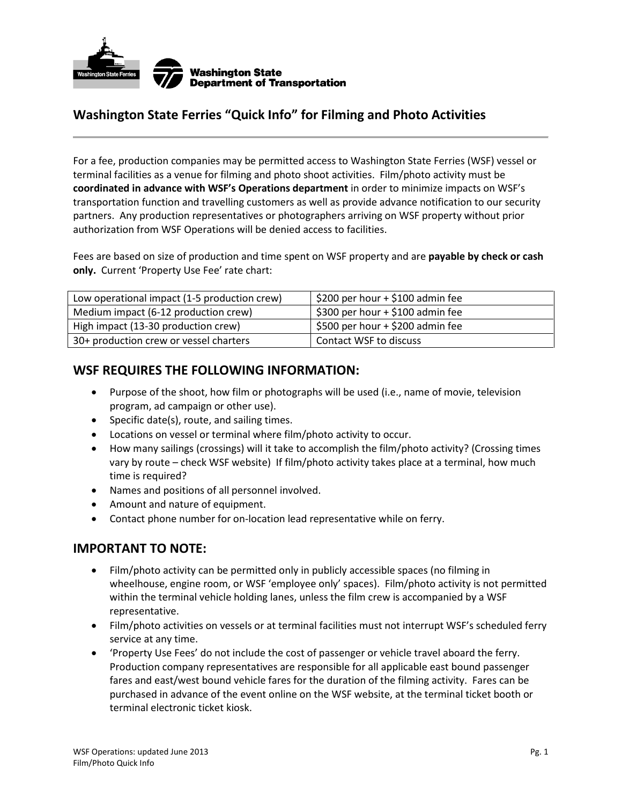

## **Washington State Ferries "Quick Info" for Filming and Photo Activities**

For a fee, production companies may be permitted access to Washington State Ferries (WSF) vessel or terminal facilities as a venue for filming and photo shoot activities. Film/photo activity must be **coordinated in advance with WSF's Operations department** in order to minimize impacts on WSF's transportation function and travelling customers as well as provide advance notification to our security partners. Any production representatives or photographers arriving on WSF property without prior authorization from WSF Operations will be denied access to facilities.

Fees are based on size of production and time spent on WSF property and are **payable by check or cash only.** Current 'Property Use Fee' rate chart:

| Low operational impact (1-5 production crew) | \$200 per hour + \$100 admin fee |
|----------------------------------------------|----------------------------------|
| Medium impact (6-12 production crew)         | \$300 per hour + \$100 admin fee |
| High impact (13-30 production crew)          | \$500 per hour + \$200 admin fee |
| 30+ production crew or vessel charters       | Contact WSF to discuss           |

## **WSF REQUIRES THE FOLLOWING INFORMATION:**

- Purpose of the shoot, how film or photographs will be used (i.e., name of movie, television program, ad campaign or other use).
- $\bullet$  Specific date(s), route, and sailing times.
- Locations on vessel or terminal where film/photo activity to occur.
- How many sailings (crossings) will it take to accomplish the film/photo activity? (Crossing times vary by route – check WSF website) If film/photo activity takes place at a terminal, how much time is required?
- Names and positions of all personnel involved.
- Amount and nature of equipment.
- Contact phone number for on-location lead representative while on ferry.

## **IMPORTANT TO NOTE:**

- Film/photo activity can be permitted only in publicly accessible spaces (no filming in wheelhouse, engine room, or WSF 'employee only' spaces). Film/photo activity is not permitted within the terminal vehicle holding lanes, unless the film crew is accompanied by a WSF representative.
- Film/photo activities on vessels or at terminal facilities must not interrupt WSF's scheduled ferry service at any time.
- 'Property Use Fees' do not include the cost of passenger or vehicle travel aboard the ferry. Production company representatives are responsible for all applicable east bound passenger fares and east/west bound vehicle fares for the duration of the filming activity. Fares can be purchased in advance of the event online on the WSF website, at the terminal ticket booth or terminal electronic ticket kiosk.